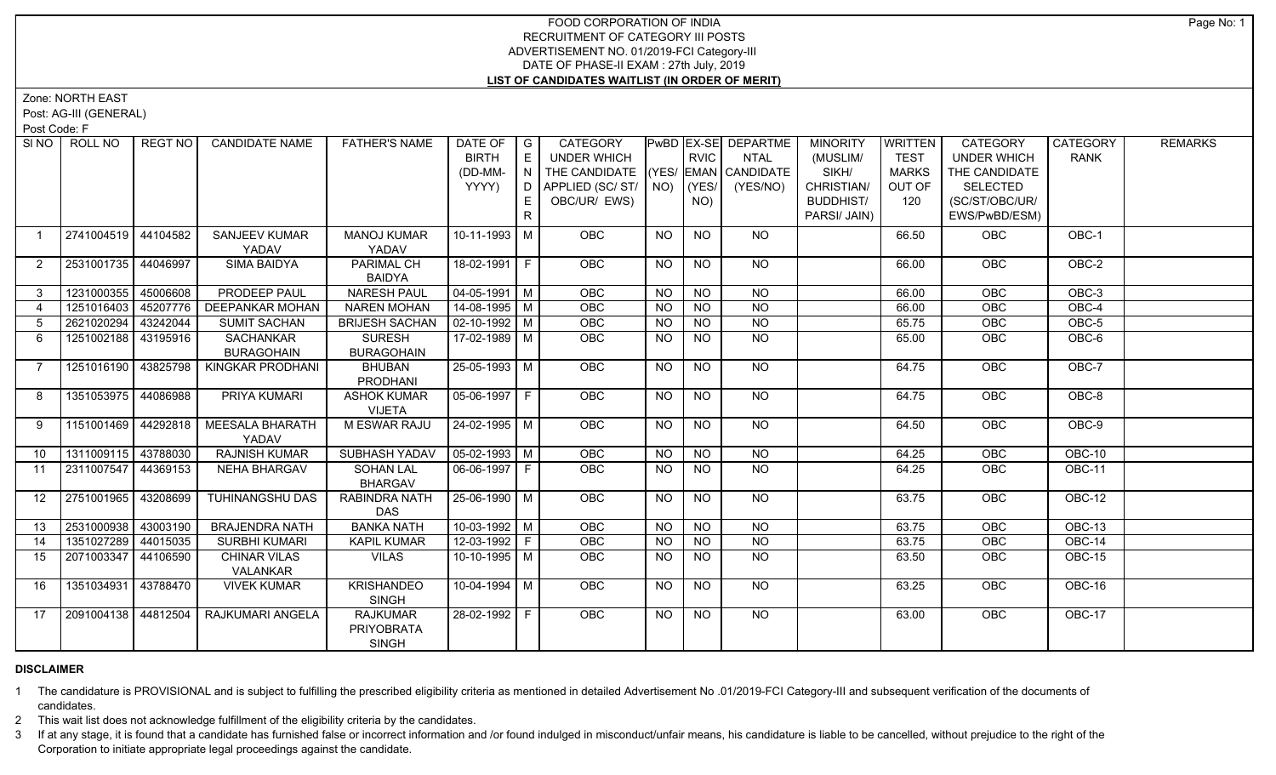# FOOD CORPORATION OF INDIA RECRUITMENT OF CATEGORY III POSTS ADVERTISEMENT NO. 01/2019-FCI Category-III DATE OF PHASE-II EXAM : 27th July, 2019 **LIST OF CANDIDATES WAITLIST (IN ORDER OF MERIT)**

Zone: NORTH EAST

Post: AG-III (GENERAL)

Post Code: F

| SINO           | ROLL NO             | REGT NO  | <b>CANDIDATE NAME</b>                    | <b>FATHER'S NAME</b>                                 | DATE OF G<br><b>BIRTH</b><br>(DD-MM-<br>YYYY) | l E<br>$\overline{N}$<br>D.<br>E.<br>R. | CATEGORY<br><b>UNDER WHICH</b><br>THE CANDIDATE (YES/ EMAN CANDIDATE<br>APPLIED (SC/ST/ NO)<br>OBC/UR/ EWS) |                 | <b>RVIC</b><br>(YES/<br>NO) | <b>PwBD EX-SE DEPARTME</b><br><b>NTAL</b><br>(YES/NO) | <b>MINORITY</b><br>(MUSLIM/<br>SIKH/<br>CHRISTIAN/<br><b>BUDDHIST/</b><br>PARSI/ JAIN) | <b>WRITTEN</b><br><b>TEST</b><br><b>MARKS</b><br>OUT OF<br>120 | CATEGORY<br><b>UNDER WHICH</b><br>THE CANDIDATE<br><b>SELECTED</b><br>(SC/ST/OBC/UR/<br>EWS/PwBD/ESM) | CATEGORY<br><b>RANK</b> | <b>REMARKS</b> |
|----------------|---------------------|----------|------------------------------------------|------------------------------------------------------|-----------------------------------------------|-----------------------------------------|-------------------------------------------------------------------------------------------------------------|-----------------|-----------------------------|-------------------------------------------------------|----------------------------------------------------------------------------------------|----------------------------------------------------------------|-------------------------------------------------------------------------------------------------------|-------------------------|----------------|
| $\overline{1}$ | 2741004519 44104582 |          | <b>SANJEEV KUMAR</b><br>YADAV            | <b>MANOJ KUMAR</b><br>YADAV                          | $10-11-1993$ M                                |                                         | <b>OBC</b>                                                                                                  | <b>NO</b>       | <b>NO</b>                   | <b>NO</b>                                             |                                                                                        | 66.50                                                          | <b>OBC</b>                                                                                            | OBC-1                   |                |
| $\overline{2}$ | 2531001735 44046997 |          | <b>SIMA BAIDYA</b>                       | PARIMAL CH<br><b>BAIDYA</b>                          | 18-02-1991 F                                  |                                         | <b>OBC</b>                                                                                                  | <b>NO</b>       | <b>NO</b>                   | NO                                                    |                                                                                        | 66.00                                                          | <b>OBC</b>                                                                                            | OBC-2                   |                |
| $\mathbf{3}$   | 1231000355          | 45006608 | <b>PRODEEP PAUL</b>                      | <b>NARESH PAUL</b>                                   | $04 - 05 - 1991$ M                            |                                         | OBC                                                                                                         | <b>NO</b>       | <b>NO</b>                   | <b>NO</b>                                             |                                                                                        | 66.00                                                          | OBC                                                                                                   | OBC-3                   |                |
| $\overline{4}$ | 1251016403          | 45207776 | <b>DEEPANKAR MOHAN</b>                   | <b>NAREN MOHAN</b>                                   | $14 - 08 - 1995$ M                            |                                         | OBC                                                                                                         | $\overline{NQ}$ | $\overline{NO}$             | $\overline{NO}$                                       |                                                                                        | 66.00                                                          | OBC                                                                                                   | $OBC-4$                 |                |
| 5              | 2621020294          | 43242044 | <b>SUMIT SACHAN</b>                      | <b>BRIJESH SACHAN</b>                                | $\sqrt{02-10-1992}$ M                         |                                         | <b>OBC</b>                                                                                                  | NO.             | <b>NO</b>                   | $\overline{NO}$                                       |                                                                                        | 65.75                                                          | <b>OBC</b>                                                                                            | $OBC-5$                 |                |
| -6             | 1251002188          | 43195916 | SACHANKAR<br><b>BURAGOHAIN</b>           | <b>SURESH</b><br><b>BURAGOHAIN</b>                   | 17-02-1989 M                                  |                                         | OBC                                                                                                         | <b>NO</b>       | <b>NO</b>                   | NO                                                    |                                                                                        | 65.00                                                          | <b>OBC</b>                                                                                            | OBC-6                   |                |
| $\overline{7}$ | 1251016190 43825798 |          | KINGKAR PRODHANI                         | <b>BHUBAN</b><br><b>PRODHANI</b>                     | 25-05-1993 M                                  |                                         | <b>OBC</b>                                                                                                  | <b>NO</b>       | NO                          | NO.                                                   |                                                                                        | 64.75                                                          | <b>OBC</b>                                                                                            | OBC-7                   |                |
| 8              | 1351053975 44086988 |          | PRIYA KUMARI                             | <b>ASHOK KUMAR</b><br><b>VIJETA</b>                  | $05-06-1997$ F                                |                                         | <b>OBC</b>                                                                                                  | NO.             | <b>NO</b>                   | NO                                                    |                                                                                        | 64.75                                                          | <b>OBC</b>                                                                                            | OBC-8                   |                |
| 9              | 1151001469 44292818 |          | <b>MEESALA BHARATH</b><br>YADAV          | M ESWAR RAJU                                         | $24 - 02 - 1995$ M                            |                                         | OBC                                                                                                         | <b>NO</b>       | $N$ O                       | NO                                                    |                                                                                        | 64.50                                                          | OBC                                                                                                   | OBC-9                   |                |
| 10             | 1311009115 43788030 |          | <b>RAJNISH KUMAR</b>                     | SUBHASH YADAV                                        | $\vert$ 05-02-1993 $\vert$ M                  |                                         | OBC                                                                                                         | <b>NO</b>       | <b>NO</b>                   | <b>NO</b>                                             |                                                                                        | 64.25                                                          | OBC                                                                                                   | OBC-10                  |                |
| 11             | 2311007547 44369153 |          | NEHA BHARGAV                             | <b>SOHAN LAL</b><br><b>BHARGAV</b>                   | 06-06-1997   F                                |                                         | OBC                                                                                                         | <b>NO</b>       | <b>NO</b>                   | NO                                                    |                                                                                        | 64.25                                                          | OBC                                                                                                   | OBC-11                  |                |
| 12             | 2751001965          | 43208699 | <b>TUHINANGSHU DAS</b>                   | RABINDRA NATH<br><b>DAS</b>                          | $25-06-1990$ M                                |                                         | <b>OBC</b>                                                                                                  | <b>NO</b>       | <b>NO</b>                   | NO                                                    |                                                                                        | 63.75                                                          | OBC                                                                                                   | OBC-12                  |                |
| 13             | 2531000938          | 43003190 | <b>BRAJENDRA NATH</b>                    | <b>BANKA NATH</b>                                    | $10-03-1992$ M                                |                                         | <b>OBC</b>                                                                                                  | N <sub>O</sub>  | $\overline{NO}$             | $N$ <sup>O</sup>                                      |                                                                                        | 63.75                                                          | <b>OBC</b>                                                                                            | OBC-13                  |                |
| 14             | 1351027289 44015035 |          | SURBHI KUMARI                            | <b>KAPIL KUMAR</b>                                   | $12-03-1992$ F                                |                                         | OBC                                                                                                         | <b>NO</b>       | N <sub>O</sub>              | N <sub>O</sub>                                        |                                                                                        | 63.75                                                          | OBC                                                                                                   | <b>OBC-14</b>           |                |
| 15             | 2071003347          | 44106590 | <b>CHINAR VILAS</b><br>VALANKAR          | <b>VILAS</b>                                         | 10-10-1995 M                                  |                                         | <b>OBC</b>                                                                                                  | <b>NO</b>       | <b>NO</b>                   | NO                                                    |                                                                                        | 63.50                                                          | <b>OBC</b>                                                                                            | OBC-15                  |                |
| 16             | 1351034931          | 43788470 | <b>VIVEK KUMAR</b>                       | <b>KRISHANDEO</b><br><b>SINGH</b>                    | $10-04-1994$ M                                |                                         | <b>OBC</b>                                                                                                  | <b>NO</b>       | NO                          | NO                                                    |                                                                                        | 63.25                                                          | <b>OBC</b>                                                                                            | OBC-16                  |                |
| 17             |                     |          | 2091004138   44812504   RAJKUMARI ANGELA | <b>RAJKUMAR</b><br><b>PRIYOBRATA</b><br><b>SINGH</b> | 28-02-1992   F                                |                                         | OBC                                                                                                         | <b>NO</b>       | <b>NO</b>                   | NO                                                    |                                                                                        | 63.00                                                          | OBC                                                                                                   | OBC-17                  |                |

### **DISCLAIMER**

1 The candidature is PROVISIONAL and is subject to fulfilling the prescribed eligibility criteria as mentioned in detailed Advertisement No .01/2019-FCI Category-III and subsequent verification of the documents of candidates.

2 This wait list does not acknowledge fulfillment of the eligibility criteria by the candidates.

3 If at any stage, it is found that a candidate has furnished false or incorrect information and /or found indulged in misconduct/unfair means, his candidature is liable to be cancelled, without prejudice to the right of t Corporation to initiate appropriate legal proceedings against the candidate.

Page No: 1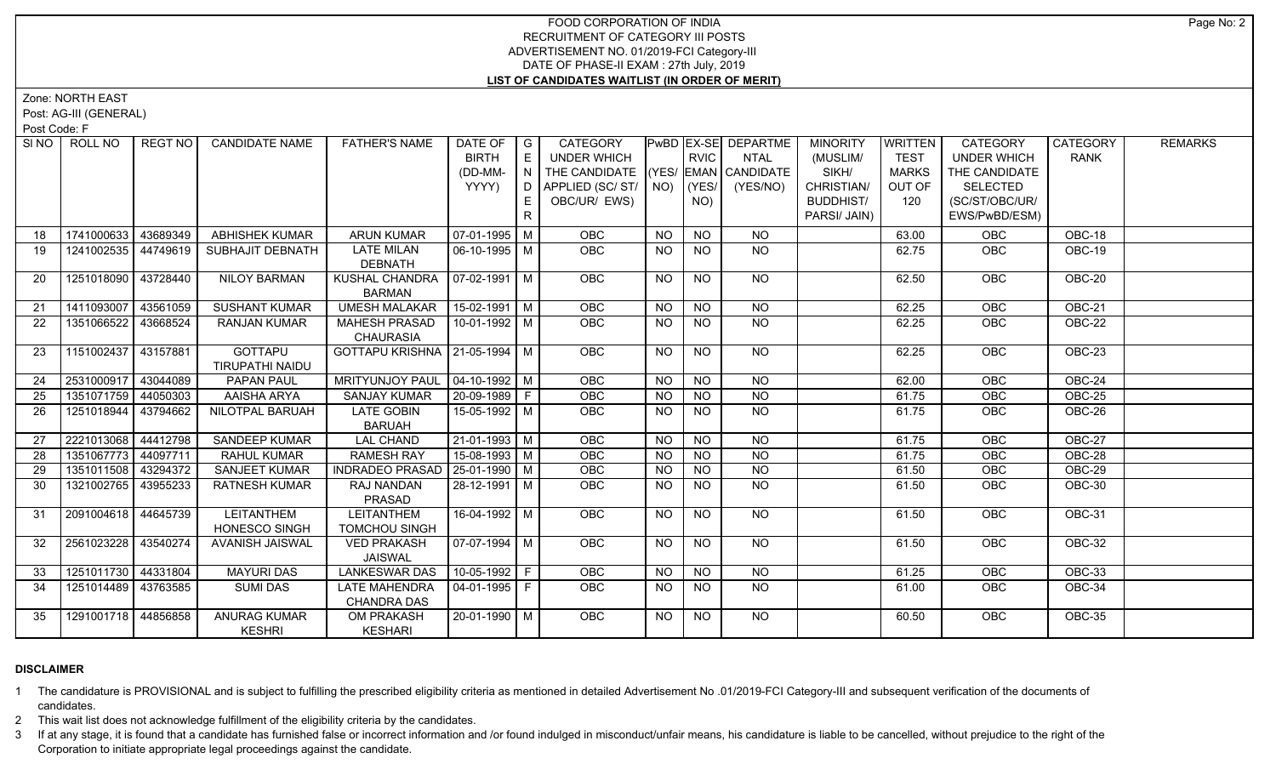# FOOD CORPORATION OF INDIA RECRUITMENT OF CATEGORY III POSTS ADVERTISEMENT NO. 01/2019-FCI Category-III DATE OF PHASE-II EXAM : 27th July, 2019 **LIST OF CANDIDATES WAITLIST (IN ORDER OF MERIT)**

Zone: NORTH EAST

Post: AG-III (GENERAL)

Post Code: F

|    | SINO   ROLL NO      | REGT NO  | <b>CANDIDATE NAME</b> | <b>FATHER'S NAME</b>             | DATE OF   G                  |                | <b>CATEGORY</b>                    |           |                 | <b>PWBD EX-SE DEPARTME</b> | <b>MINORITY</b>  | WRITTEN      | <b>CATEGORY</b> | CATEGORY      | <b>REMARKS</b> |
|----|---------------------|----------|-----------------------|----------------------------------|------------------------------|----------------|------------------------------------|-----------|-----------------|----------------------------|------------------|--------------|-----------------|---------------|----------------|
|    |                     |          |                       |                                  | <b>BIRTH</b>                 | l El           | <b>UNDER WHICH</b>                 |           | <b>RVIC</b>     | <b>NTAL</b>                | (MUSLIM/         | <b>TEST</b>  | UNDER WHICH     | <b>RANK</b>   |                |
|    |                     |          |                       |                                  | (DD-MM-                      | $\overline{N}$ | THE CANDIDATE (YES/ EMAN CANDIDATE |           |                 |                            | SIKH/            | <b>MARKS</b> | THE CANDIDATE   |               |                |
|    |                     |          |                       |                                  | YYYY)                        | D.             | APPLIED (SC/ST/ $\vert$ NO)        |           | $ $ (YES/       | (YES/NO)                   | CHRISTIAN/       | OUT OF       | <b>SELECTED</b> |               |                |
|    |                     |          |                       |                                  |                              | E              | OBC/UR/ EWS)                       |           | NO)             |                            | <b>BUDDHIST/</b> | 120          | (SC/ST/OBC/UR/  |               |                |
|    |                     |          |                       |                                  |                              | R              |                                    |           |                 |                            | PARSI/ JAIN)     |              | EWS/PwBD/ESM)   |               |                |
| 18 | 1741000633          | 43689349 | <b>ABHISHEK KUMAR</b> | <b>ARUN KUMAR</b>                | 07-01-1995   M               |                | <b>OBC</b>                         | <b>NO</b> | <b>NO</b>       | <b>NO</b>                  |                  | 63.00        | <b>OBC</b>      | OBC-18        |                |
| 19 | 1241002535 44749619 |          | SUBHAJIT DEBNATH      | <b>LATE MILAN</b>                | 06-10-1995 M                 |                | OBC                                | <b>NO</b> | NO.             | NO                         |                  | 62.75        | OBC             | OBC-19        |                |
|    |                     |          |                       | <b>DEBNATH</b>                   |                              |                |                                    |           |                 |                            |                  |              |                 |               |                |
| 20 | 1251018090          | 43728440 | <b>NILOY BARMAN</b>   | KUSHAL CHANDRA                   | $\vert$ 07-02-1991 $\vert$ M |                | OBC                                | <b>NO</b> | <b>NO</b>       | NO                         |                  | 62.50        | OBC             | OBC-20        |                |
|    |                     |          |                       | <b>BARMAN</b>                    |                              |                |                                    |           |                 |                            |                  |              |                 |               |                |
| 21 | 1411093007          | 43561059 | <b>SUSHANT KUMAR</b>  | <b>UMESH MALAKAR</b>             | $15-02-1991$ M               |                | OBC                                | <b>NO</b> | $\overline{NO}$ | NO                         |                  | 62.25        | OBC             | OBC-21        |                |
| 22 | 1351066522          | 43668524 | <b>RANJAN KUMAR</b>   | <b>MAHESH PRASAD</b>             | 10-01-1992   M               |                | <b>OBC</b>                         | <b>NO</b> | NO.             | NO                         |                  | 62.25        | <b>OBC</b>      | OBC-22        |                |
|    |                     |          |                       | <b>CHAURASIA</b>                 |                              |                |                                    |           |                 |                            |                  |              |                 |               |                |
| 23 | 1151002437 43157881 |          | <b>GOTTAPU</b>        | GOTTAPU KRISHNA   21-05-1994   M |                              |                | <b>OBC</b>                         | <b>NO</b> | <b>NO</b>       | NO                         |                  | 62.25        | <b>OBC</b>      | OBC-23        |                |
|    |                     |          | TIRUPATHI NAIDU       |                                  |                              |                |                                    |           |                 |                            |                  |              |                 |               |                |
| 24 | 2531000917 43044089 |          | <b>PAPAN PAUL</b>     | <b>MRITYUNJOY PAUL</b>           | $\vert$ 04-10-1992 M         |                | <b>OBC</b>                         | <b>NO</b> | $N$ O           | NO                         |                  | 62.00        | OBC             | $OBC-24$      |                |
| 25 | 1351071759          | 44050303 | AAISHA ARYA           | <b>SANJAY KUMAR</b>              | $20-09-1989$ F               |                | OBC                                | <b>NO</b> | <b>NO</b>       | $N$ O                      |                  | 61.75        | OBC             | OBC-25        |                |
| 26 | 1251018944          | 43794662 | NILOTPAL BARUAH       | <b>LATE GOBIN</b>                | $15-05-1992$ M               |                | <b>OBC</b>                         | NO.       | <b>NO</b>       | $N$ <sup>O</sup>           |                  | 61.75        | OBC             | $OBC-26$      |                |
|    |                     |          |                       | <b>BARUAH</b>                    |                              |                |                                    |           |                 |                            |                  |              |                 |               |                |
| 27 | 2221013068          | 44412798 | <b>SANDEEP KUMAR</b>  | <b>LAL CHAND</b>                 | $21-01-1993$ M               |                | OBC                                | <b>NO</b> | N <sub>O</sub>  | NO                         |                  | 61.75        | OBC             | OBC-27        |                |
| 28 | 1351067773          | 44097711 | RAHUL KUMAR           | <b>RAMESH RAY</b>                | 15-08-1993 M                 |                | <b>OBC</b>                         | <b>NO</b> | $N$ O           | $N$ O                      |                  | 61.75        | OBC             | OBC-28        |                |
| 29 | 1351011508 43294372 |          | SANJEET KUMAR         | INDRADEO PRASAD   25-01-1990   M |                              |                | OBC                                | NO        | NO              | $N$ O                      |                  | 61.50        | OBC             | <b>OBC-29</b> |                |
| 30 | 1321002765          | 43955233 | <b>RATNESH KUMAR</b>  | RAJ NANDAN                       | 28-12-1991   M               |                | <b>OBC</b>                         | <b>NO</b> | NO.             | NO                         |                  | 61.50        | OBC             | OBC-30        |                |
|    |                     |          |                       | PRASAD                           |                              |                |                                    |           |                 |                            |                  |              |                 |               |                |
| 31 | 2091004618 44645739 |          | <b>LEITANTHEM</b>     | LEITANTHEM                       | 16-04-1992 M                 |                | <b>OBC</b>                         | <b>NO</b> | <b>NO</b>       | NO                         |                  | 61.50        | <b>OBC</b>      | OBC-31        |                |
|    |                     |          | <b>HONESCO SINGH</b>  | <b>TOMCHOU SINGH</b>             |                              |                |                                    |           |                 |                            |                  |              |                 |               |                |
| 32 | 2561023228          | 43540274 | AVANISH JAISWAL       | <b>VED PRAKASH</b>               | 07-07-1994   M               |                | OBC                                | <b>NO</b> | $\overline{NQ}$ | $N$ <sup>O</sup>           |                  | 61.50        | OBC             | <b>OBC-32</b> |                |
|    |                     |          |                       | <b>JAISWAL</b>                   |                              |                |                                    |           |                 |                            |                  |              |                 |               |                |
| 33 | 1251011730 44331804 |          | <b>MAYURI DAS</b>     | <b>LANKESWAR DAS</b>             | 10-05-1992 F                 |                | OBC                                | <b>NO</b> | <b>NO</b>       | <b>NO</b>                  |                  | 61.25        | OBC             | OBC-33        |                |
| 34 | 1251014489 43763585 |          | <b>SUMI DAS</b>       | <b>LATE MAHENDRA</b>             | 04-01-1995   F               |                | <b>OBC</b>                         | NO.       | NO.             | NO                         |                  | 61.00        | <b>OBC</b>      | OBC-34        |                |
|    |                     |          |                       | <b>CHANDRA DAS</b>               |                              |                |                                    |           |                 |                            |                  |              |                 |               |                |
| 35 | 1291001718 44856858 |          | <b>ANURAG KUMAR</b>   | <b>OM PRAKASH</b>                | 20-01-1990 M                 |                | <b>OBC</b>                         | NO.       | <b>NO</b>       | $N$ O                      |                  | 60.50        | OBC             | <b>OBC-35</b> |                |
|    |                     |          | <b>KESHRI</b>         | <b>KESHARI</b>                   |                              |                |                                    |           |                 |                            |                  |              |                 |               |                |

# **DISCLAIMER**

1 The candidature is PROVISIONAL and is subject to fulfilling the prescribed eligibility criteria as mentioned in detailed Advertisement No .01/2019-FCI Category-III and subsequent verification of the documents of candidates.

2 This wait list does not acknowledge fulfillment of the eligibility criteria by the candidates.

3 If at any stage, it is found that a candidate has furnished false or incorrect information and /or found indulged in misconduct/unfair means, his candidature is liable to be cancelled, without prejudice to the right of t Corporation to initiate appropriate legal proceedings against the candidate.

Page No: 2